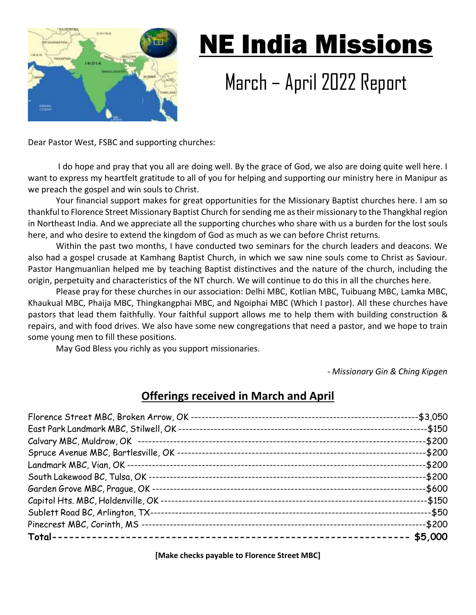

# NE India Missions

# March – April 2022 Report

Dear Pastor West, FSBC and supporting churches:

 I do hope and pray that you all are doing well. By the grace of God, we also are doing quite well here. I want to express my heartfelt gratitude to all of you for helping and supporting our ministry here in Manipur as we preach the gospel and win souls to Christ.

Your financial support makes for great opportunities for the Missionary Baptist churches here. I am so thankful to Florence Street Missionary Baptist Church for sending me as their missionary to the Thangkhal region in Northeast India. And we appreciate all the supporting churches who share with us a burden for the lost souls here, and who desire to extend the kingdom of God as much as we can before Christ returns.

Within the past two months, I have conducted two seminars for the church leaders and deacons. We also had a gospel crusade at Kamhang Baptist Church, in which we saw nine souls come to Christ as Saviour. Pastor Hangmuanlian helped me by teaching Baptist distinctives and the nature of the church, including the origin, perpetuity and characteristics of the NT church. We will continue to do this in all the churches here.

Please pray for these churches in our association: Delhi MBC, Kotlian MBC, Tuibuang MBC, Lamka MBC, Khaukual MBC, Phaija MBC, Thingkangphai MBC, and Ngoiphai MBC (Which I pastor). All these churches have pastors that lead them faithfully. Your faithful support allows me to help them with building construction & repairs, and with food drives. We also have some new congregations that need a pastor, and we hope to train some young men to fill these positions.

May God Bless you richly as you support missionaries.

- *Missionary Gin & Ching Kipgen*

## **Offerings received in March and April**

| -\$3,050  |
|-----------|
| $-$ \$150 |
| -\$200    |
| -\$200    |
| -\$200    |
| $-$200$   |
| -\$600    |
| -\$150    |
| --\$50    |
| -\$200    |
| \$5,000   |

**[Make checks payable to Florence Street MBC]**